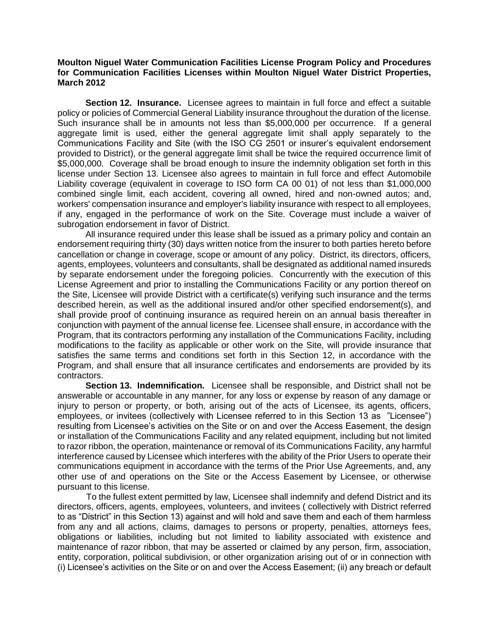## **Moulton Niguel Water Communication Facilities License Program Policy and Procedures for Communication Facilities Licenses within Moulton Niguel Water District Properties, March 2012**

**Section 12. Insurance.** Licensee agrees to maintain in full force and effect a suitable policy or policies of Commercial General Liability insurance throughout the duration of the license. Such insurance shall be in amounts not less than \$5,000,000 per occurrence. If a general aggregate limit is used, either the general aggregate limit shall apply separately to the Communications Facility and Site (with the ISO CG 2501 or insurer's equivalent endorsement provided to District), or the general aggregate limit shall be twice the required occurrence limit of \$5,000,000. Coverage shall be broad enough to insure the indemnity obligation set forth in this license under Section 13. Licensee also agrees to maintain in full force and effect Automobile Liability coverage (equivalent in coverage to ISO form CA 00 01) of not less than \$1,000,000 combined single limit, each accident, covering all owned, hired and non-owned autos; and, workers' compensation insurance and employer's liability insurance with respect to all employees, if any, engaged in the performance of work on the Site. Coverage must include a waiver of subrogation endorsement in favor of District.

All insurance required under this lease shall be issued as a primary policy and contain an endorsement requiring thirty (30) days written notice from the insurer to both parties hereto before cancellation or change in coverage, scope or amount of any policy. District, its directors, officers, agents, employees, volunteers and consultants, shall be designated as additional named insureds by separate endorsement under the foregoing policies. Concurrently with the execution of this License Agreement and prior to installing the Communications Facility or any portion thereof on the Site, Licensee will provide District with a certificate(s) verifying such insurance and the terms described herein, as well as the additional insured and/or other specified endorsement(s), and shall provide proof of continuing insurance as required herein on an annual basis thereafter in conjunction with payment of the annual license fee. Licensee shall ensure, in accordance with the Program, that its contractors performing any installation of the Communications Facility, including modifications to the facility as applicable or other work on the Site, will provide insurance that satisfies the same terms and conditions set forth in this Section 12, in accordance with the Program, and shall ensure that all insurance certificates and endorsements are provided by its contractors.

**Section 13. Indemnification.** Licensee shall be responsible, and District shall not be answerable or accountable in any manner, for any loss or expense by reason of any damage or injury to person or property, or both, arising out of the acts of Licensee, its agents, officers, employees, or invitees (collectively with Licensee referred to in this Section 13 as "Licensee") resulting from Licensee's activities on the Site or on and over the Access Easement, the design or installation of the Communications Facility and any related equipment, including but not limited to razor ribbon, the operation, maintenance or removal of its Communications Facility, any harmful interference caused by Licensee which interferes with the ability of the Prior Users to operate their communications equipment in accordance with the terms of the Prior Use Agreements, and, any other use of and operations on the Site or the Access Easement by Licensee, or otherwise pursuant to this license.

To the fullest extent permitted by law, Licensee shall indemnify and defend District and its directors, officers, agents, employees, volunteers, and invitees ( collectively with District referred to as "District" in this Section 13) against and will hold and save them and each of them harmless from any and all actions, claims, damages to persons or property, penalties, attorneys fees, obligations or liabilities, including but not limited to liability associated with existence and maintenance of razor ribbon, that may be asserted or claimed by any person, firm, association, entity, corporation, political subdivision, or other organization arising out of or in connection with (i) Licensee's activities on the Site or on and over the Access Easement; (ii) any breach or default